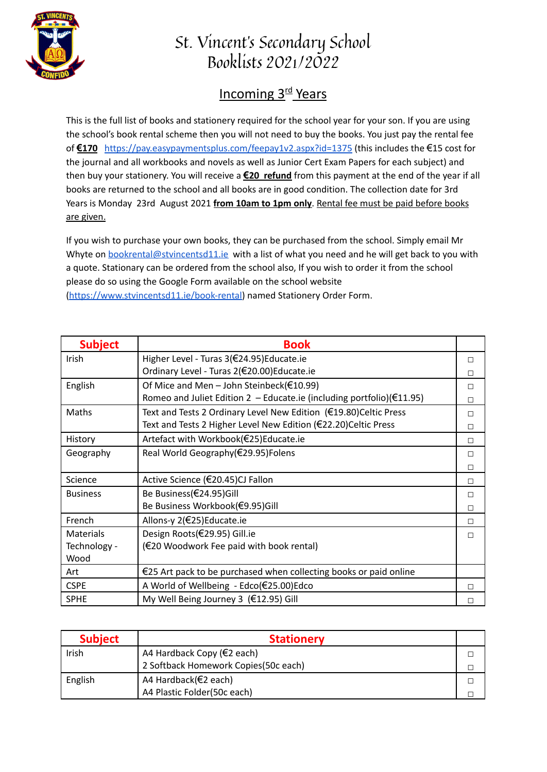

## St. Vincent's Secondary School Booklists 2021/2022

## **Incoming 3<sup>rd</sup> Years**

This is the full list of books and stationery required for the school year for your son. If you are using the school's book rental scheme then you will not need to buy the books. You just pay the rental fee of **€170** <https://pay.easypaymentsplus.com/feepay1v2.aspx?id=1375> (this includes the €15 cost for the journal and all workbooks and novels as well as Junior Cert Exam Papers for each subject) and then buy your stationery. You will receive a **€20 refund** from this payment at the end of the year if all books are returned to the school and all books are in good condition. The collection date for 3rd Years is Monday 23rd August 2021 **from 10am to 1pm only**. Rental fee must be paid before books are given.

If you wish to purchase your own books, they can be purchased from the school. Simply email Mr Whyte on bookrental@stvincentsd11.je with a list of what you need and he will get back to you with a quote. Stationary can be ordered from the school also, If you wish to order it from the school please do so using the Google Form available on the school website [\(https://www.stvincentsd11.ie/book-rental\)](https://www.stvincentsd11.ie/book-rental) named Stationery Order Form.

| <b>Subject</b>   | <b>Book</b>                                                                      |   |
|------------------|----------------------------------------------------------------------------------|---|
| Irish            | Higher Level - Turas 3(€24.95)Educate.ie                                         | П |
|                  | Ordinary Level - Turas 2(€20.00)Educate.ie                                       | П |
| English          | Of Mice and Men - John Steinbeck( $\epsilon$ 10.99)                              | П |
|                  | Romeo and Juliet Edition 2 - Educate.ie (including portfolio)( $\epsilon$ 11.95) | п |
| Maths            | Text and Tests 2 Ordinary Level New Edition (€19.80)Celtic Press                 | п |
|                  | Text and Tests 2 Higher Level New Edition (€22.20)Celtic Press                   | П |
| History          | Artefact with Workbook(€25)Educate.ie                                            | П |
| Geography        | Real World Geography(€29.95)Folens                                               | П |
|                  |                                                                                  | П |
| Science          | Active Science (€20.45)CJ Fallon                                                 | П |
| <b>Business</b>  | Be Business(€24.95)Gill                                                          | П |
|                  | Be Business Workbook(€9.95)Gill                                                  | П |
| French           | Allons-y 2(€25)Educate.ie                                                        | П |
| <b>Materials</b> | Design Roots(€29.95) Gill.ie                                                     | П |
| Technology -     | (€20 Woodwork Fee paid with book rental)                                         |   |
| Wood             |                                                                                  |   |
| Art              | $\epsilon$ 25 Art pack to be purchased when collecting books or paid online      |   |
| <b>CSPE</b>      | A World of Wellbeing - Edco(€25.00)Edco                                          | П |
| <b>SPHE</b>      | My Well Being Journey 3 (€12.95) Gill                                            | П |

| <b>Subject</b> | <b>Stationery</b>                    |  |
|----------------|--------------------------------------|--|
| Irish          | A4 Hardback Copy ( $\in$ 2 each)     |  |
|                | 2 Softback Homework Copies(50c each) |  |
| English        | A4 Hardback(€2 each)                 |  |
|                | A4 Plastic Folder(50c each)          |  |